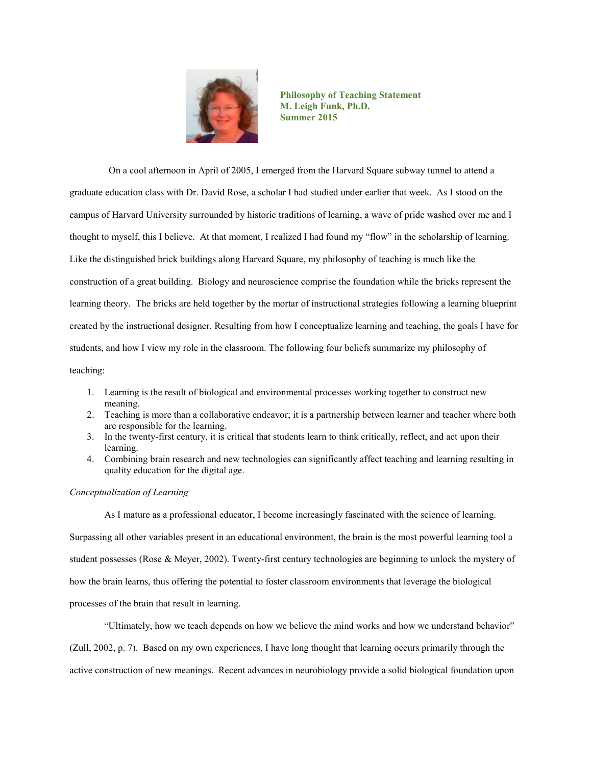

**Philosophy of Teaching Statement M. Leigh Funk, Ph.D. Summer 2015**

On a cool afternoon in April of 2005, I emerged from the Harvard Square subway tunnel to attend a graduate education class with Dr. David Rose, a scholar I had studied under earlier that week. As I stood on the campus of Harvard University surrounded by historic traditions of learning, a wave of pride washed over me and I thought to myself, this I believe. At that moment, I realized I had found my "flow" in the scholarship of learning. Like the distinguished brick buildings along Harvard Square, my philosophy of teaching is much like the construction of a great building. Biology and neuroscience comprise the foundation while the bricks represent the learning theory. The bricks are held together by the mortar of instructional strategies following a learning blueprint created by the instructional designer. Resulting from how I conceptualize learning and teaching, the goals I have for students, and how I view my role in the classroom. The following four beliefs summarize my philosophy of teaching:

- 1. Learning is the result of biological and environmental processes working together to construct new meaning.
- 2. Teaching is more than a collaborative endeavor; it is a partnership between learner and teacher where both are responsible for the learning.
- 3. In the twenty-first century, it is critical that students learn to think critically, reflect, and act upon their learning.
- 4. Combining brain research and new technologies can significantly affect teaching and learning resulting in quality education for the digital age.

## *Conceptualization of Learning*

As I mature as a professional educator, I become increasingly fascinated with the science of learning.

Surpassing all other variables present in an educational environment, the brain is the most powerful learning tool a student possesses (Rose & Meyer, 2002). Twenty-first century technologies are beginning to unlock the mystery of how the brain learns, thus offering the potential to foster classroom environments that leverage the biological processes of the brain that result in learning.

"Ultimately, how we teach depends on how we believe the mind works and how we understand behavior" (Zull, 2002, p. 7). Based on my own experiences, I have long thought that learning occurs primarily through the active construction of new meanings. Recent advances in neurobiology provide a solid biological foundation upon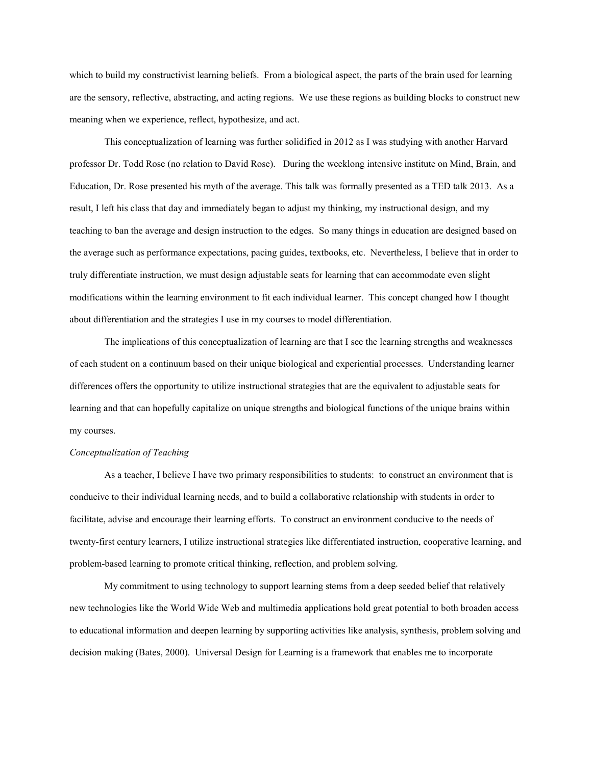which to build my constructivist learning beliefs. From a biological aspect, the parts of the brain used for learning are the sensory, reflective, abstracting, and acting regions. We use these regions as building blocks to construct new meaning when we experience, reflect, hypothesize, and act.

This conceptualization of learning was further solidified in 2012 as I was studying with another Harvard professor Dr. Todd Rose (no relation to David Rose). During the weeklong intensive institute on Mind, Brain, and Education, Dr. Rose presented his myth of the average. This talk was formally presented as a TED talk 2013. As a result, I left his class that day and immediately began to adjust my thinking, my instructional design, and my teaching to ban the average and design instruction to the edges. So many things in education are designed based on the average such as performance expectations, pacing guides, textbooks, etc. Nevertheless, I believe that in order to truly differentiate instruction, we must design adjustable seats for learning that can accommodate even slight modifications within the learning environment to fit each individual learner. This concept changed how I thought about differentiation and the strategies I use in my courses to model differentiation.

The implications of this conceptualization of learning are that I see the learning strengths and weaknesses of each student on a continuum based on their unique biological and experiential processes. Understanding learner differences offers the opportunity to utilize instructional strategies that are the equivalent to adjustable seats for learning and that can hopefully capitalize on unique strengths and biological functions of the unique brains within my courses.

#### *Conceptualization of Teaching*

As a teacher, I believe I have two primary responsibilities to students: to construct an environment that is conducive to their individual learning needs, and to build a collaborative relationship with students in order to facilitate, advise and encourage their learning efforts. To construct an environment conducive to the needs of twenty-first century learners, I utilize instructional strategies like differentiated instruction, cooperative learning, and problem-based learning to promote critical thinking, reflection, and problem solving.

My commitment to using technology to support learning stems from a deep seeded belief that relatively new technologies like the World Wide Web and multimedia applications hold great potential to both broaden access to educational information and deepen learning by supporting activities like analysis, synthesis, problem solving and decision making (Bates, 2000). Universal Design for Learning is a framework that enables me to incorporate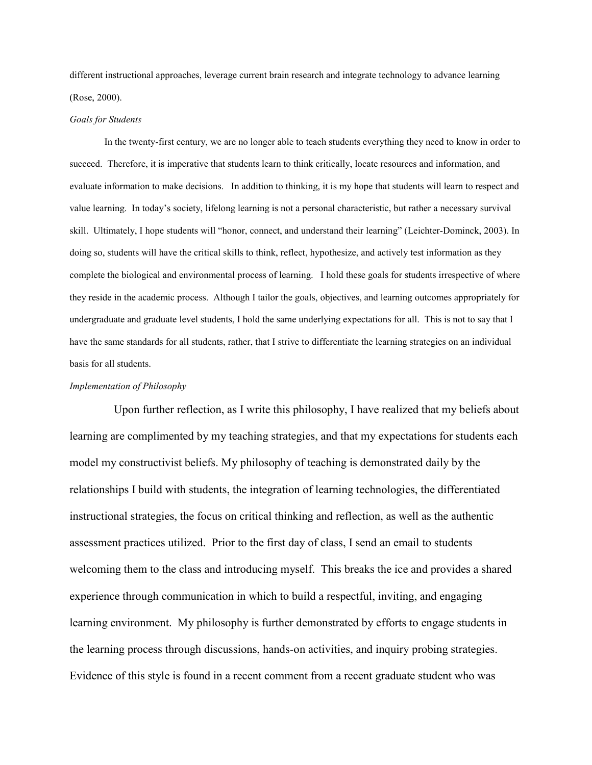different instructional approaches, leverage current brain research and integrate technology to advance learning (Rose, 2000).

## *Goals for Students*

In the twenty-first century, we are no longer able to teach students everything they need to know in order to succeed. Therefore, it is imperative that students learn to think critically, locate resources and information, and evaluate information to make decisions. In addition to thinking, it is my hope that students will learn to respect and value learning. In today's society, lifelong learning is not a personal characteristic, but rather a necessary survival skill. Ultimately, I hope students will "honor, connect, and understand their learning" (Leichter-Dominck, 2003). In doing so, students will have the critical skills to think, reflect, hypothesize, and actively test information as they complete the biological and environmental process of learning. I hold these goals for students irrespective of where they reside in the academic process. Although I tailor the goals, objectives, and learning outcomes appropriately for undergraduate and graduate level students, I hold the same underlying expectations for all. This is not to say that I have the same standards for all students, rather, that I strive to differentiate the learning strategies on an individual basis for all students.

#### *Implementation of Philosophy*

Upon further reflection, as I write this philosophy, I have realized that my beliefs about learning are complimented by my teaching strategies, and that my expectations for students each model my constructivist beliefs. My philosophy of teaching is demonstrated daily by the relationships I build with students, the integration of learning technologies, the differentiated instructional strategies, the focus on critical thinking and reflection, as well as the authentic assessment practices utilized. Prior to the first day of class, I send an email to students welcoming them to the class and introducing myself. This breaks the ice and provides a shared experience through communication in which to build a respectful, inviting, and engaging learning environment. My philosophy is further demonstrated by efforts to engage students in the learning process through discussions, hands-on activities, and inquiry probing strategies. Evidence of this style is found in a recent comment from a recent graduate student who was